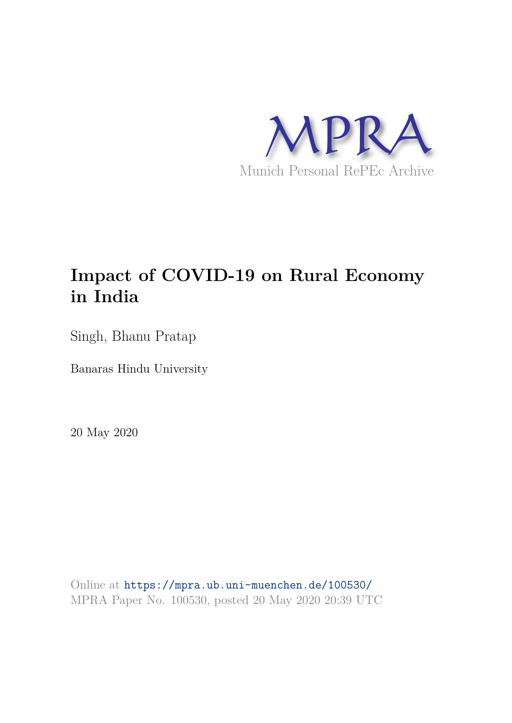

# **Impact of COVID-19 on Rural Economy in India**

Singh, Bhanu Pratap

Banaras Hindu University

20 May 2020

Online at https://mpra.ub.uni-muenchen.de/100530/ MPRA Paper No. 100530, posted 20 May 2020 20:39 UTC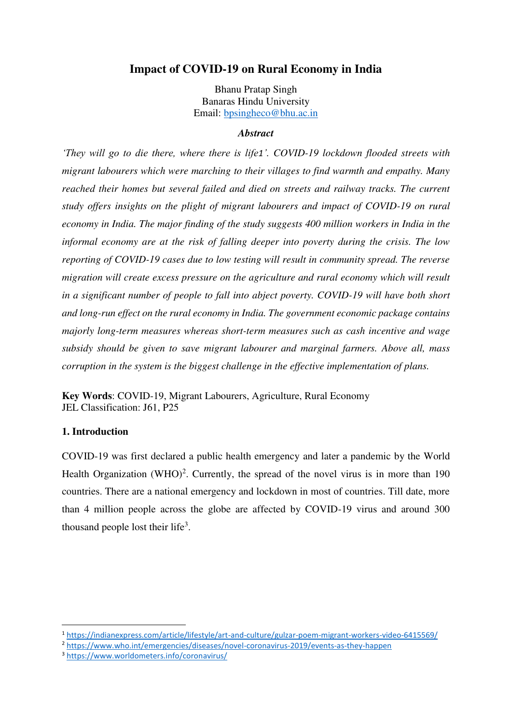## **Impact of COVID-19 on Rural Economy in India**

Bhanu Pratap Singh Banaras Hindu University Email: [bpsingheco@bhu.ac.in](mailto:bpsingheco@bhu.ac.in)

#### *Abstract*

*'They will go to die there, where there is life1'. COVID-19 lockdown flooded streets with migrant labourers which were marching to their villages to find warmth and empathy. Many reached their homes but several failed and died on streets and railway tracks. The current study offers insights on the plight of migrant labourers and impact of COVID-19 on rural economy in India. The major finding of the study suggests 400 million workers in India in the informal economy are at the risk of falling deeper into poverty during the crisis. The low reporting of COVID-19 cases due to low testing will result in community spread. The reverse migration will create excess pressure on the agriculture and rural economy which will result in a significant number of people to fall into abject poverty. COVID-19 will have both short and long-run effect on the rural economy in India. The government economic package contains majorly long-term measures whereas short-term measures such as cash incentive and wage subsidy should be given to save migrant labourer and marginal farmers. Above all, mass corruption in the system is the biggest challenge in the effective implementation of plans.* 

**Key Words**: COVID-19, Migrant Labourers, Agriculture, Rural Economy JEL Classification: J61, P25

## **1. Introduction**

-

COVID-19 was first declared a public health emergency and later a pandemic by the World Health Organization (WHO)<sup>2</sup>. Currently, the spread of the novel virus is in more than  $190$ countries. There are a national emergency and lockdown in most of countries. Till date, more than 4 million people across the globe are affected by COVID-19 virus and around 300 thousand people lost their life<sup>3</sup>.

<sup>2</sup> <https://www.who.int/emergencies/diseases/novel-coronavirus-2019/events-as-they-happen>

<sup>1</sup> <https://indianexpress.com/article/lifestyle/art-and-culture/gulzar-poem-migrant-workers-video-6415569/>

<sup>3</sup> <https://www.worldometers.info/coronavirus/>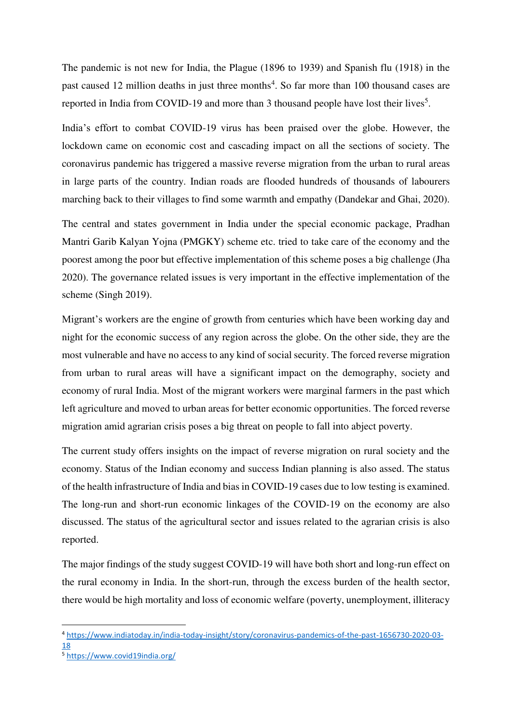The pandemic is not new for India, the Plague (1896 to 1939) and Spanish flu (1918) in the past caused 12 million deaths in just three months<sup>4</sup>. So far more than 100 thousand cases are reported in India from COVID-19 and more than 3 thousand people have lost their lives<sup>5</sup>.

India's effort to combat COVID-19 virus has been praised over the globe. However, the lockdown came on economic cost and cascading impact on all the sections of society. The coronavirus pandemic has triggered a massive reverse migration from the urban to rural areas in large parts of the country. Indian roads are flooded hundreds of thousands of labourers marching back to their villages to find some warmth and empathy (Dandekar and Ghai, 2020).

The central and states government in India under the special economic package, Pradhan Mantri Garib Kalyan Yojna (PMGKY) scheme etc. tried to take care of the economy and the poorest among the poor but effective implementation of this scheme poses a big challenge (Jha 2020). The governance related issues is very important in the effective implementation of the scheme (Singh 2019).

Migrant's workers are the engine of growth from centuries which have been working day and night for the economic success of any region across the globe. On the other side, they are the most vulnerable and have no access to any kind of social security. The forced reverse migration from urban to rural areas will have a significant impact on the demography, society and economy of rural India. Most of the migrant workers were marginal farmers in the past which left agriculture and moved to urban areas for better economic opportunities. The forced reverse migration amid agrarian crisis poses a big threat on people to fall into abject poverty.

The current study offers insights on the impact of reverse migration on rural society and the economy. Status of the Indian economy and success Indian planning is also assed. The status of the health infrastructure of India and bias in COVID-19 cases due to low testing is examined. The long-run and short-run economic linkages of the COVID-19 on the economy are also discussed. The status of the agricultural sector and issues related to the agrarian crisis is also reported.

The major findings of the study suggest COVID-19 will have both short and long-run effect on the rural economy in India. In the short-run, through the excess burden of the health sector, there would be high mortality and loss of economic welfare (poverty, unemployment, illiteracy

-

<sup>4</sup> [https://www.indiatoday.in/india-today-insight/story/coronavirus-pandemics-of-the-past-1656730-2020-03-](https://www.indiatoday.in/india-today-insight/story/coronavirus-pandemics-of-the-past-1656730-2020-03-18) [18](https://www.indiatoday.in/india-today-insight/story/coronavirus-pandemics-of-the-past-1656730-2020-03-18)

<sup>5</sup> <https://www.covid19india.org/>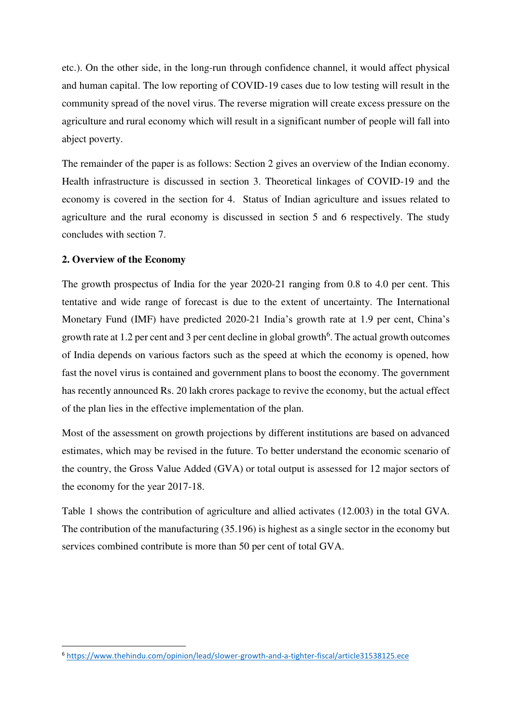etc.). On the other side, in the long-run through confidence channel, it would affect physical and human capital. The low reporting of COVID-19 cases due to low testing will result in the community spread of the novel virus. The reverse migration will create excess pressure on the agriculture and rural economy which will result in a significant number of people will fall into abject poverty.

The remainder of the paper is as follows: Section 2 gives an overview of the Indian economy. Health infrastructure is discussed in section 3. Theoretical linkages of COVID-19 and the economy is covered in the section for 4. Status of Indian agriculture and issues related to agriculture and the rural economy is discussed in section 5 and 6 respectively. The study concludes with section 7.

## **2. Overview of the Economy**

-

The growth prospectus of India for the year 2020-21 ranging from 0.8 to 4.0 per cent. This tentative and wide range of forecast is due to the extent of uncertainty. The International Monetary Fund (IMF) have predicted 2020-21 India's growth rate at 1.9 per cent, China's growth rate at 1.2 per cent and 3 per cent decline in global growth<sup>6</sup>. The actual growth outcomes of India depends on various factors such as the speed at which the economy is opened, how fast the novel virus is contained and government plans to boost the economy. The government has recently announced Rs. 20 lakh crores package to revive the economy, but the actual effect of the plan lies in the effective implementation of the plan.

Most of the assessment on growth projections by different institutions are based on advanced estimates, which may be revised in the future. To better understand the economic scenario of the country, the Gross Value Added (GVA) or total output is assessed for 12 major sectors of the economy for the year 2017-18.

Table 1 shows the contribution of agriculture and allied activates (12.003) in the total GVA. The contribution of the manufacturing (35.196) is highest as a single sector in the economy but services combined contribute is more than 50 per cent of total GVA.

<sup>6</sup> <https://www.thehindu.com/opinion/lead/slower-growth-and-a-tighter-fiscal/article31538125.ece>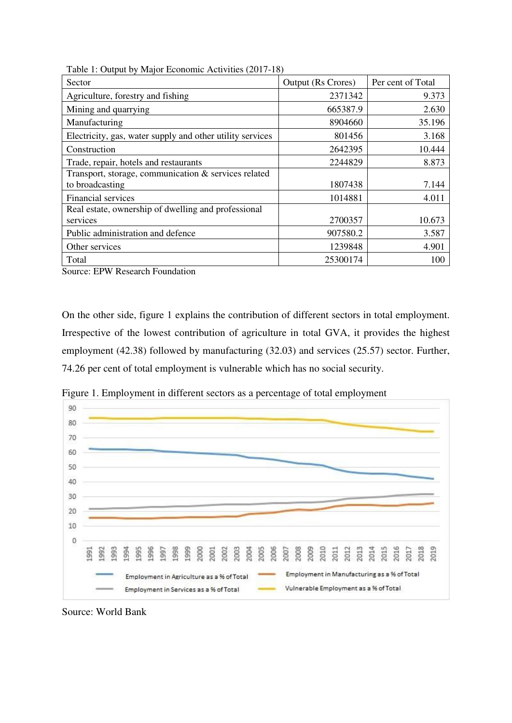| raone 1. Output by major Economic Aten (110) (2017 10)<br>Sector | <b>Output (Rs Crores)</b> | Per cent of Total |
|------------------------------------------------------------------|---------------------------|-------------------|
| Agriculture, forestry and fishing                                | 2371342                   | 9.373             |
| Mining and quarrying                                             | 665387.9                  | 2.630             |
| Manufacturing                                                    | 8904660                   | 35.196            |
| Electricity, gas, water supply and other utility services        | 801456                    | 3.168             |
| Construction                                                     | 2642395                   | 10.444            |
| Trade, repair, hotels and restaurants                            | 2244829                   | 8.873             |
| Transport, storage, communication & services related             |                           |                   |
| to broadcasting                                                  | 1807438                   | 7.144             |
| <b>Financial services</b>                                        | 1014881                   | 4.011             |
| Real estate, ownership of dwelling and professional              |                           |                   |
| services                                                         | 2700357                   | 10.673            |
| Public administration and defence                                | 907580.2                  | 3.587             |
| Other services                                                   | 1239848                   | 4.901             |
| Total                                                            | 25300174                  | 100               |

Table 1: Output by Major Economic Activities (2017-18)

Source: EPW Research Foundation

On the other side, figure 1 explains the contribution of different sectors in total employment. Irrespective of the lowest contribution of agriculture in total GVA, it provides the highest employment (42.38) followed by manufacturing (32.03) and services (25.57) sector. Further, 74.26 per cent of total employment is vulnerable which has no social security.



Figure 1. Employment in different sectors as a percentage of total employment

Source: World Bank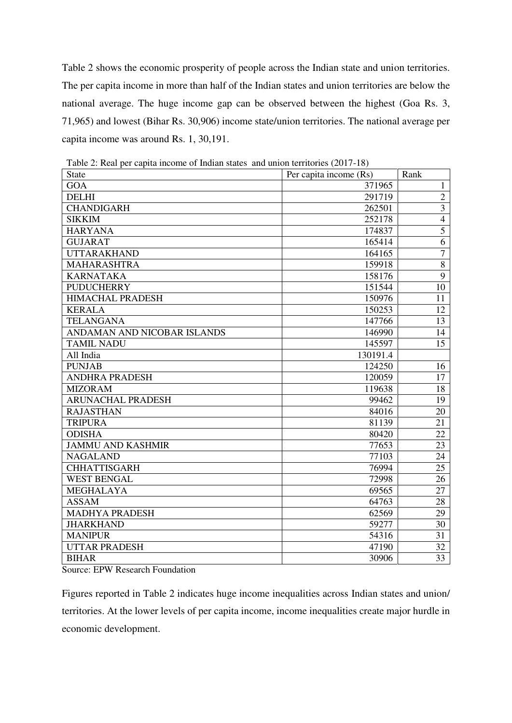Table 2 shows the economic prosperity of people across the Indian state and union territories. The per capita income in more than half of the Indian states and union territories are below the national average. The huge income gap can be observed between the highest (Goa Rs. 3, 71,965) and lowest (Bihar Rs. 30,906) income state/union territories. The national average per capita income was around Rs. 1, 30,191.

| <b>State</b>                | Per capita income (Rs) | Rank           |
|-----------------------------|------------------------|----------------|
| GOA                         | 371965                 | 1              |
| <b>DELHI</b>                | 291719                 | $\overline{2}$ |
| <b>CHANDIGARH</b>           | 262501                 | $\overline{3}$ |
| <b>SIKKIM</b>               | 252178                 | $\overline{4}$ |
| <b>HARYANA</b>              | 174837                 | $\overline{5}$ |
| <b>GUJARAT</b>              | 165414                 | 6              |
| <b>UTTARAKHAND</b>          | 164165                 | $\overline{7}$ |
| <b>MAHARASHTRA</b>          | 159918                 | $\overline{8}$ |
| <b>KARNATAKA</b>            | 158176                 | $\overline{9}$ |
| <b>PUDUCHERRY</b>           | 151544                 | 10             |
| <b>HIMACHAL PRADESH</b>     | 150976                 | 11             |
| <b>KERALA</b>               | 150253                 | 12             |
| <b>TELANGANA</b>            | 147766                 | 13             |
| ANDAMAN AND NICOBAR ISLANDS | 146990                 | 14             |
| <b>TAMIL NADU</b>           | 145597                 | 15             |
| All India                   | 130191.4               |                |
| <b>PUNJAB</b>               | 124250                 | 16             |
| <b>ANDHRA PRADESH</b>       | 120059                 | 17             |
| <b>MIZORAM</b>              | 119638                 | 18             |
| <b>ARUNACHAL PRADESH</b>    | 99462                  | 19             |
| <b>RAJASTHAN</b>            | 84016                  | 20             |
| <b>TRIPURA</b>              | 81139                  | 21             |
| <b>ODISHA</b>               | 80420                  | 22             |
| <b>JAMMU AND KASHMIR</b>    | 77653                  | 23             |
| <b>NAGALAND</b>             | 77103                  | 24             |
| <b>CHHATTISGARH</b>         | 76994                  | 25             |
| <b>WEST BENGAL</b>          | 72998                  | 26             |
| <b>MEGHALAYA</b>            | 69565                  | 27             |
| <b>ASSAM</b>                | 64763                  | 28             |
| <b>MADHYA PRADESH</b>       | 62569                  | 29             |
| <b>JHARKHAND</b>            | 59277                  | 30             |
| <b>MANIPUR</b>              | 54316                  | 31             |
| <b>UTTAR PRADESH</b>        | 47190                  | 32             |
| <b>BIHAR</b>                | 30906                  | 33             |

Table 2: Real per capita income of Indian states and union territories (2017-18)

Source: EPW Research Foundation

Figures reported in Table 2 indicates huge income inequalities across Indian states and union/ territories. At the lower levels of per capita income, income inequalities create major hurdle in economic development.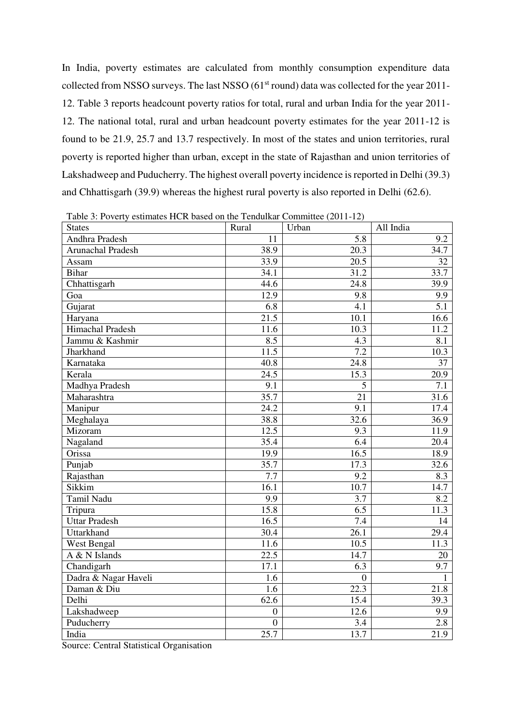In India, poverty estimates are calculated from monthly consumption expenditure data collected from NSSO surveys. The last NSSO (61<sup>st</sup> round) data was collected for the year 2011-12. Table 3 reports headcount poverty ratios for total, rural and urban India for the year 2011- 12. The national total, rural and urban headcount poverty estimates for the year 2011-12 is found to be 21.9, 25.7 and 13.7 respectively. In most of the states and union territories, rural poverty is reported higher than urban, except in the state of Rajasthan and union territories of Lakshadweep and Puducherry. The highest overall poverty incidence is reported in Delhi (39.3) and Chhattisgarh (39.9) whereas the highest rural poverty is also reported in Delhi (62.6).

| Table 3: Poverty estimates HCR based on the Tendulkar Committee (2011-12)<br><b>States</b> | Rural             | Urban          | All India |
|--------------------------------------------------------------------------------------------|-------------------|----------------|-----------|
| Andhra Pradesh                                                                             | 11                | 5.8            | 9.2       |
| Arunachal Pradesh                                                                          | 38.9              | 20.3           | 34.7      |
| Assam                                                                                      | 33.9              | 20.5           | 32        |
| <b>Bihar</b>                                                                               | 34.1              | 31.2           | 33.7      |
| Chhattisgarh                                                                               | 44.6              | 24.8           | 39.9      |
| Goa                                                                                        | 12.9              | 9.8            | 9.9       |
| Gujarat                                                                                    | 6.8               | 4.1            | 5.1       |
| Haryana                                                                                    | 21.5              | 10.1           | 16.6      |
| Himachal Pradesh                                                                           | 11.6              | 10.3           | 11.2      |
| Jammu & Kashmir                                                                            | 8.5               | 4.3            | 8.1       |
| Jharkhand                                                                                  | 11.5              | 7.2            | 10.3      |
| Karnataka                                                                                  | 40.8              | 24.8           | 37        |
| Kerala                                                                                     | $\overline{24.5}$ | 15.3           | 20.9      |
| Madhya Pradesh                                                                             | $\overline{9.1}$  | 5              | 7.1       |
| Maharashtra                                                                                | 35.7              | 21             | 31.6      |
| Manipur                                                                                    | 24.2              | 9.1            | 17.4      |
| Meghalaya                                                                                  | 38.8              | 32.6           | 36.9      |
| Mizoram                                                                                    | 12.5              | 9.3            | 11.9      |
| Nagaland                                                                                   | 35.4              | 6.4            | 20.4      |
| Orissa                                                                                     | 19.9              | 16.5           | 18.9      |
| Punjab                                                                                     | 35.7              | 17.3           | 32.6      |
| Rajasthan                                                                                  | 7.7               | 9.2            | 8.3       |
| Sikkim                                                                                     | 16.1              | 10.7           | 14.7      |
| Tamil Nadu                                                                                 | 9.9               | 3.7            | 8.2       |
| Tripura                                                                                    | 15.8              | 6.5            | 11.3      |
| <b>Uttar Pradesh</b>                                                                       | 16.5              | 7.4            | 14        |
| Uttarkhand                                                                                 | 30.4              | 26.1           | 29.4      |
| West Bengal                                                                                | 11.6              | 10.5           | 11.3      |
| A & N Islands                                                                              | 22.5              | 14.7           | 20        |
| Chandigarh                                                                                 | 17.1              | 6.3            | 9.7       |
| Dadra & Nagar Haveli                                                                       | 1.6               | $\overline{0}$ | 1         |
| Daman & Diu                                                                                | 1.6               | 22.3           | 21.8      |
| Delhi                                                                                      | 62.6              | 15.4           | 39.3      |
| Lakshadweep                                                                                | $\overline{0}$    | 12.6           | 9.9       |
| Puducherry                                                                                 | $\overline{0}$    | 3.4            | 2.8       |
| India                                                                                      | $25.\overline{7}$ | 13.7           | 21.9      |

Table 3: Poverty estimates HCR based on the Tendulkar Committee (2011-12)

Source: Central Statistical Organisation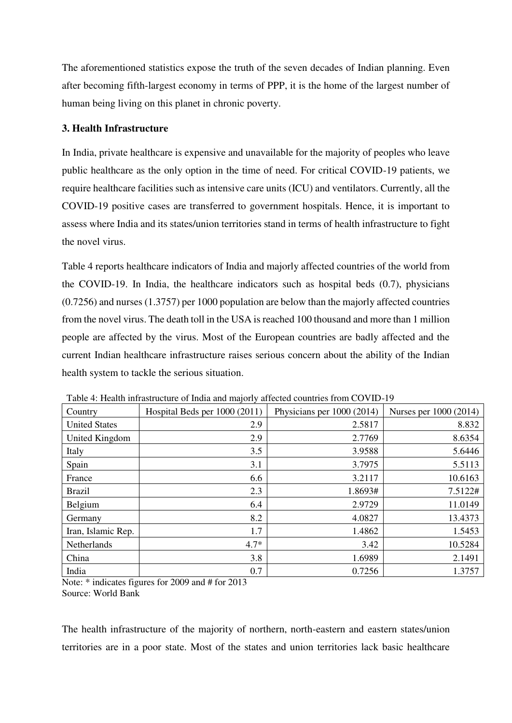The aforementioned statistics expose the truth of the seven decades of Indian planning. Even after becoming fifth-largest economy in terms of PPP, it is the home of the largest number of human being living on this planet in chronic poverty.

## **3. Health Infrastructure**

In India, private healthcare is expensive and unavailable for the majority of peoples who leave public healthcare as the only option in the time of need. For critical COVID-19 patients, we require healthcare facilities such as intensive care units (ICU) and ventilators. Currently, all the COVID-19 positive cases are transferred to government hospitals. Hence, it is important to assess where India and its states/union territories stand in terms of health infrastructure to fight the novel virus.

Table 4 reports healthcare indicators of India and majorly affected countries of the world from the COVID-19. In India, the healthcare indicators such as hospital beds (0.7), physicians (0.7256) and nurses (1.3757) per 1000 population are below than the majorly affected countries from the novel virus. The death toll in the USA is reached 100 thousand and more than 1 million people are affected by the virus. Most of the European countries are badly affected and the current Indian healthcare infrastructure raises serious concern about the ability of the Indian health system to tackle the serious situation.

| Country              | Hospital Beds per 1000 (2011) | Physicians per 1000 (2014) | Nurses per 1000 (2014) |
|----------------------|-------------------------------|----------------------------|------------------------|
| <b>United States</b> | 2.9                           | 2.5817                     | 8.832                  |
| United Kingdom       | 2.9                           | 2.7769                     | 8.6354                 |
| Italy                | 3.5                           | 3.9588                     | 5.6446                 |
| Spain                | 3.1                           | 3.7975                     | 5.5113                 |
| France               | 6.6                           | 3.2117                     | 10.6163                |
| <b>Brazil</b>        | 2.3                           | 1.8693#                    | 7.5122#                |
| Belgium              | 6.4                           | 2.9729                     | 11.0149                |
| Germany              | 8.2                           | 4.0827                     | 13.4373                |
| Iran, Islamic Rep.   | 1.7                           | 1.4862                     | 1.5453                 |
| Netherlands          | $4.7*$                        | 3.42                       | 10.5284                |
| China                | 3.8                           | 1.6989                     | 2.1491                 |
| India                | 0.7                           | 0.7256                     | 1.3757                 |

Table 4: Health infrastructure of India and majorly affected countries from COVID-19

Note: \* indicates figures for 2009 and # for 2013 Source: World Bank

The health infrastructure of the majority of northern, north-eastern and eastern states/union territories are in a poor state. Most of the states and union territories lack basic healthcare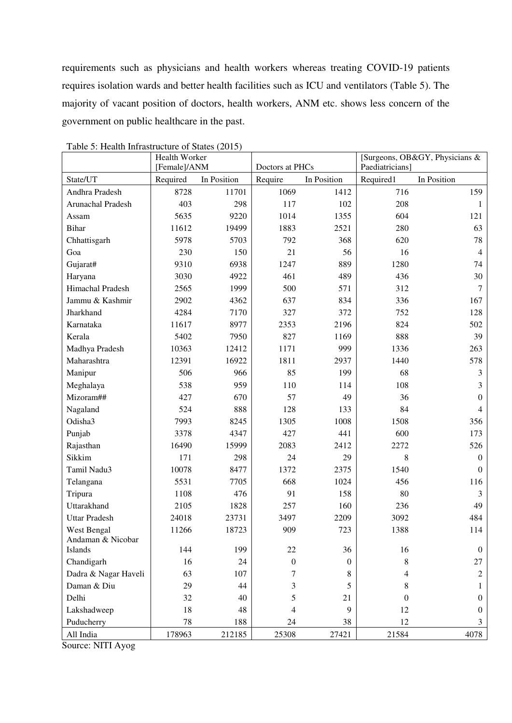requirements such as physicians and health workers whereas treating COVID-19 patients requires isolation wards and better health facilities such as ICU and ventilators (Table 5). The majority of vacant position of doctors, health workers, ANM etc. shows less concern of the government on public healthcare in the past.

|                      | Health Worker |             |                  |                | [Surgeons, OB&GY, Physicians & |                  |
|----------------------|---------------|-------------|------------------|----------------|--------------------------------|------------------|
|                      | [Female]/ANM  |             | Doctors at PHCs  |                | Paediatricians]                |                  |
| State/UT             | Required      | In Position | Require          | In Position    | Required1                      | In Position      |
| Andhra Pradesh       | 8728          | 11701       | 1069             | 1412           | 716                            | 159              |
| Arunachal Pradesh    | 403           | 298         | 117              | 102            | 208                            | 1                |
| Assam                | 5635          | 9220        | 1014             | 1355           | 604                            | 121              |
| <b>Bihar</b>         | 11612         | 19499       | 1883             | 2521           | 280                            | 63               |
| Chhattisgarh         | 5978          | 5703        | 792              | 368            | 620                            | 78               |
| Goa                  | 230           | 150         | 21               | 56             | 16                             | $\overline{4}$   |
| Gujarat#             | 9310          | 6938        | 1247             | 889            | 1280                           | 74               |
| Haryana              | 3030          | 4922        | 461              | 489            | 436                            | 30               |
| Himachal Pradesh     | 2565          | 1999        | 500              | 571            | 312                            | 7                |
| Jammu & Kashmir      | 2902          | 4362        | 637              | 834            | 336                            | 167              |
| Jharkhand            | 4284          | 7170        | 327              | 372            | 752                            | 128              |
| Karnataka            | 11617         | 8977        | 2353             | 2196           | 824                            | 502              |
| Kerala               | 5402          | 7950        | 827              | 1169           | 888                            | 39               |
| Madhya Pradesh       | 10363         | 12412       | 1171             | 999            | 1336                           | 263              |
| Maharashtra          | 12391         | 16922       | 1811             | 2937           | 1440                           | 578              |
| Manipur              | 506           | 966         | 85               | 199            | 68                             | 3                |
| Meghalaya            | 538           | 959         | 110              | 114            | 108                            | 3                |
| Mizoram##            | 427           | 670         | 57               | 49             | 36                             | $\Omega$         |
| Nagaland             | 524           | 888         | 128              | 133            | 84                             | 4                |
| Odisha3              | 7993          | 8245        | 1305             | 1008           | 1508                           | 356              |
| Punjab               | 3378          | 4347        | 427              | 441            | 600                            | 173              |
| Rajasthan            | 16490         | 15999       | 2083             | 2412           | 2272                           | 526              |
| Sikkim               | 171           | 298         | 24               | 29             | 8                              | $\mathbf{0}$     |
| Tamil Nadu3          | 10078         | 8477        | 1372             | 2375           | 1540                           | $\Omega$         |
| Telangana            | 5531          | 7705        | 668              | 1024           | 456                            | 116              |
| Tripura              | 1108          | 476         | 91               | 158            | 80                             | 3                |
| Uttarakhand          | 2105          | 1828        | 257              | 160            | 236                            | 49               |
| <b>Uttar Pradesh</b> | 24018         | 23731       | 3497             | 2209           | 3092                           | 484              |
| West Bengal          | 11266         | 18723       | 909              | 723            | 1388                           | 114              |
| Andaman & Nicobar    |               |             |                  |                |                                |                  |
| Islands              | 144           | 199         | 22               | 36             | 16                             | $\boldsymbol{0}$ |
| Chandigarh           | 16            | 24          | $\boldsymbol{0}$ | $\overline{0}$ | 8                              | 27               |
| Dadra & Nagar Haveli | 63            | 107         | 7                | 8              | 4                              | $\overline{c}$   |
| Daman & Diu          | 29            | 44          | 3                | 5              | 8                              |                  |
| Delhi                | 32            | 40          | 5                | 21             | $\boldsymbol{0}$               | 0                |
| Lakshadweep          | 18            | 48          | 4                | 9              | 12                             | $\boldsymbol{0}$ |
| Puducherry           | 78            | 188         | 24               | 38             | 12                             | 3                |
| All India            | 178963        | 212185      | 25308            | 27421          | 21584                          | 4078             |

Table 5: Health Infrastructure of States (2015)

Source: NITI Ayog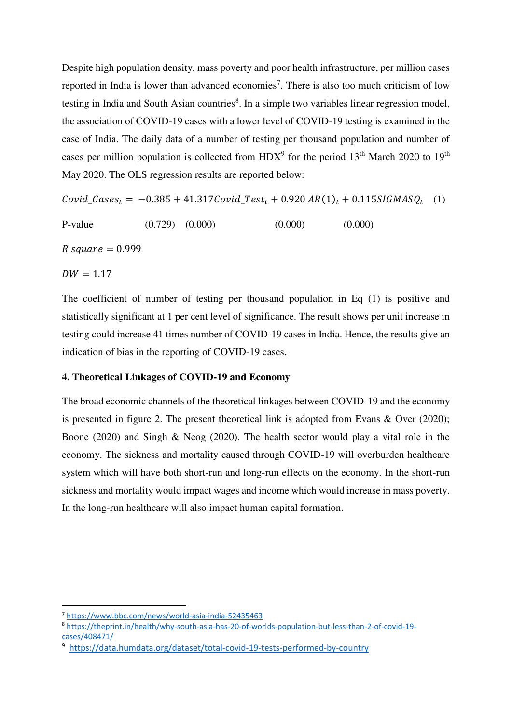Despite high population density, mass poverty and poor health infrastructure, per million cases reported in India is lower than advanced economies<sup>7</sup>. There is also too much criticism of low testing in India and South Asian countries<sup>8</sup>. In a simple two variables linear regression model, the association of COVID-19 cases with a lower level of COVID-19 testing is examined in the case of India. The daily data of a number of testing per thousand population and number of cases per million population is collected from  $HDX^9$  for the period 13<sup>th</sup> March 2020 to 19<sup>th</sup> May 2020. The OLS regression results are reported below:

 $Covid\_Cases_t = -0.385 + 41.317Covid\_Test_t + 0.920 AR(1)_t + 0.115SIGMASQ_t$  (1)

P-value  $(0.729)$   $(0.000)$   $(0.000)$   $(0.000)$ 

 $R$  square = 0.999

 $DW = 1.17$ 

.<br>-

The coefficient of number of testing per thousand population in Eq (1) is positive and statistically significant at 1 per cent level of significance. The result shows per unit increase in testing could increase 41 times number of COVID-19 cases in India. Hence, the results give an indication of bias in the reporting of COVID-19 cases.

## **4. Theoretical Linkages of COVID-19 and Economy**

The broad economic channels of the theoretical linkages between COVID-19 and the economy is presented in figure 2. The present theoretical link is adopted from Evans & Over (2020); Boone (2020) and Singh & Neog (2020). The health sector would play a vital role in the economy. The sickness and mortality caused through COVID-19 will overburden healthcare system which will have both short-run and long-run effects on the economy. In the short-run sickness and mortality would impact wages and income which would increase in mass poverty. In the long-run healthcare will also impact human capital formation.

<sup>7</sup> <https://www.bbc.com/news/world-asia-india-52435463>

<sup>8</sup> [https://theprint.in/health/why-south-asia-has-20-of-worlds-population-but-less-than-2-of-covid-19](https://theprint.in/health/why-south-asia-has-20-of-worlds-population-but-less-than-2-of-covid-19-cases/408471/) [cases/408471/](https://theprint.in/health/why-south-asia-has-20-of-worlds-population-but-less-than-2-of-covid-19-cases/408471/)

<sup>9</sup> <https://data.humdata.org/dataset/total-covid-19-tests-performed-by-country>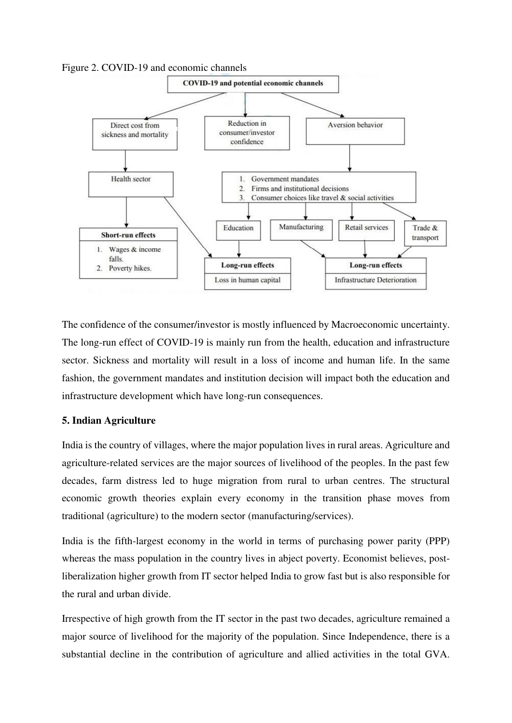Figure 2. COVID-19 and economic channels



The confidence of the consumer/investor is mostly influenced by Macroeconomic uncertainty. The long-run effect of COVID-19 is mainly run from the health, education and infrastructure sector. Sickness and mortality will result in a loss of income and human life. In the same fashion, the government mandates and institution decision will impact both the education and infrastructure development which have long-run consequences.

## **5. Indian Agriculture**

India is the country of villages, where the major population lives in rural areas. Agriculture and agriculture-related services are the major sources of livelihood of the peoples. In the past few decades, farm distress led to huge migration from rural to urban centres. The structural economic growth theories explain every economy in the transition phase moves from traditional (agriculture) to the modern sector (manufacturing/services).

India is the fifth-largest economy in the world in terms of purchasing power parity (PPP) whereas the mass population in the country lives in abject poverty. Economist believes, postliberalization higher growth from IT sector helped India to grow fast but is also responsible for the rural and urban divide.

Irrespective of high growth from the IT sector in the past two decades, agriculture remained a major source of livelihood for the majority of the population. Since Independence, there is a substantial decline in the contribution of agriculture and allied activities in the total GVA.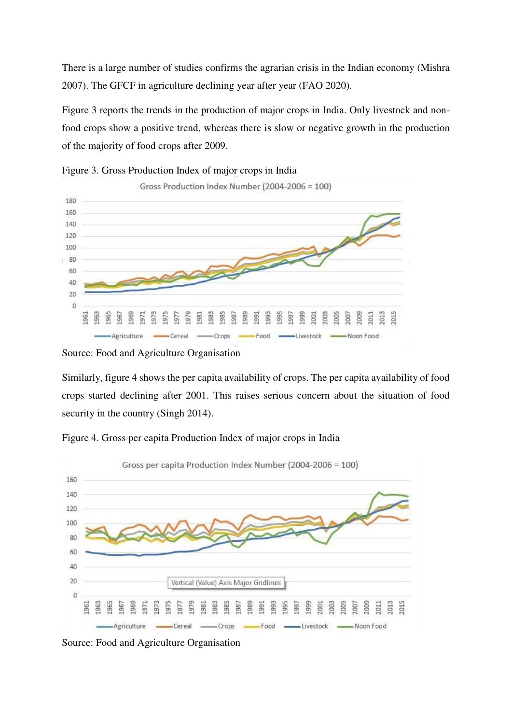There is a large number of studies confirms the agrarian crisis in the Indian economy (Mishra 2007). The GFCF in agriculture declining year after year (FAO 2020).

Figure 3 reports the trends in the production of major crops in India. Only livestock and nonfood crops show a positive trend, whereas there is slow or negative growth in the production of the majority of food crops after 2009.





Source: Food and Agriculture Organisation

Similarly, figure 4 shows the per capita availability of crops. The per capita availability of food crops started declining after 2001. This raises serious concern about the situation of food security in the country (Singh 2014).



Figure 4. Gross per capita Production Index of major crops in India

Source: Food and Agriculture Organisation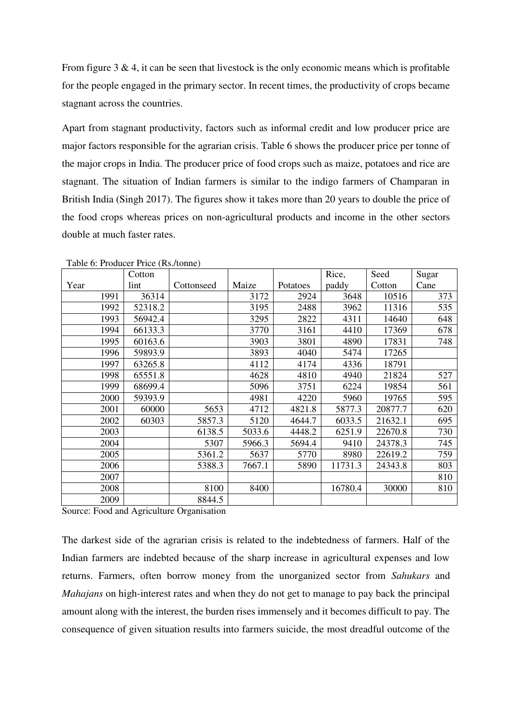From figure 3  $\&$  4, it can be seen that livestock is the only economic means which is profitable for the people engaged in the primary sector. In recent times, the productivity of crops became stagnant across the countries.

Apart from stagnant productivity, factors such as informal credit and low producer price are major factors responsible for the agrarian crisis. Table 6 shows the producer price per tonne of the major crops in India. The producer price of food crops such as maize, potatoes and rice are stagnant. The situation of Indian farmers is similar to the indigo farmers of Champaran in British India (Singh 2017). The figures show it takes more than 20 years to double the price of the food crops whereas prices on non-agricultural products and income in the other sectors double at much faster rates.

|      | Cotton  |            |        |          | Rice,   | Seed    | Sugar |
|------|---------|------------|--------|----------|---------|---------|-------|
| Year | lint    | Cottonseed | Maize  | Potatoes | paddy   | Cotton  | Cane  |
| 1991 | 36314   |            | 3172   | 2924     | 3648    | 10516   | 373   |
| 1992 | 52318.2 |            | 3195   | 2488     | 3962    | 11316   | 535   |
| 1993 | 56942.4 |            | 3295   | 2822     | 4311    | 14640   | 648   |
| 1994 | 66133.3 |            | 3770   | 3161     | 4410    | 17369   | 678   |
| 1995 | 60163.6 |            | 3903   | 3801     | 4890    | 17831   | 748   |
| 1996 | 59893.9 |            | 3893   | 4040     | 5474    | 17265   |       |
| 1997 | 63265.8 |            | 4112   | 4174     | 4336    | 18791   |       |
| 1998 | 65551.8 |            | 4628   | 4810     | 4940    | 21824   | 527   |
| 1999 | 68699.4 |            | 5096   | 3751     | 6224    | 19854   | 561   |
| 2000 | 59393.9 |            | 4981   | 4220     | 5960    | 19765   | 595   |
| 2001 | 60000   | 5653       | 4712   | 4821.8   | 5877.3  | 20877.7 | 620   |
| 2002 | 60303   | 5857.3     | 5120   | 4644.7   | 6033.5  | 21632.1 | 695   |
| 2003 |         | 6138.5     | 5033.6 | 4448.2   | 6251.9  | 22670.8 | 730   |
| 2004 |         | 5307       | 5966.3 | 5694.4   | 9410    | 24378.3 | 745   |
| 2005 |         | 5361.2     | 5637   | 5770     | 8980    | 22619.2 | 759   |
| 2006 |         | 5388.3     | 7667.1 | 5890     | 11731.3 | 24343.8 | 803   |
| 2007 |         |            |        |          |         |         | 810   |
| 2008 |         | 8100       | 8400   |          | 16780.4 | 30000   | 810   |
| 2009 |         | 8844.5     |        |          |         |         |       |

Table 6: Producer Price (Rs./tonne)

Source: Food and Agriculture Organisation

The darkest side of the agrarian crisis is related to the indebtedness of farmers. Half of the Indian farmers are indebted because of the sharp increase in agricultural expenses and low returns. Farmers, often borrow money from the unorganized sector from *Sahukars* and *Mahajans* on high-interest rates and when they do not get to manage to pay back the principal amount along with the interest, the burden rises immensely and it becomes difficult to pay. The consequence of given situation results into farmers suicide, the most dreadful outcome of the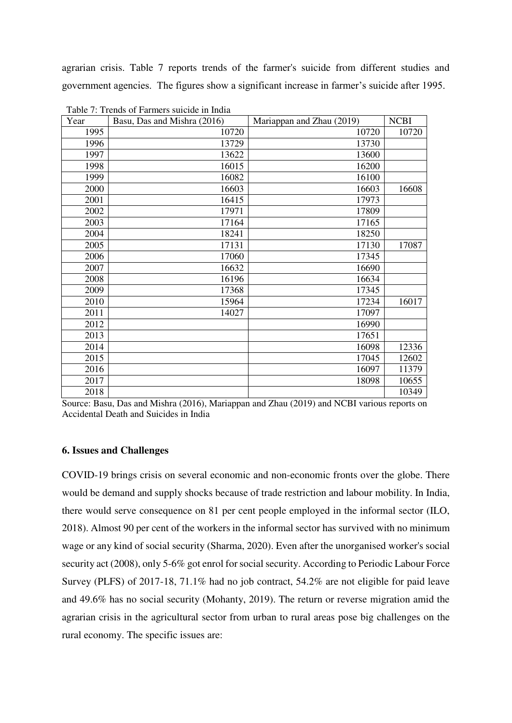agrarian crisis. Table 7 reports trends of the farmer's suicide from different studies and government agencies. The figures show a significant increase in farmer's suicide after 1995.

| Year | Basu, Das and Mishra (2016) | Mariappan and Zhau (2019) | <b>NCBI</b> |
|------|-----------------------------|---------------------------|-------------|
| 1995 | 10720                       | 10720                     | 10720       |
| 1996 | 13729                       | 13730                     |             |
| 1997 | 13622                       | 13600                     |             |
| 1998 | 16015                       | 16200                     |             |
| 1999 | 16082                       | 16100                     |             |
| 2000 | 16603                       | 16603                     | 16608       |
| 2001 | 16415                       | 17973                     |             |
| 2002 | 17971                       | 17809                     |             |
| 2003 | 17164                       | 17165                     |             |
| 2004 | 18241                       | 18250                     |             |
| 2005 | 17131                       | 17130                     | 17087       |
| 2006 | 17060                       | 17345                     |             |
| 2007 | 16632                       | 16690                     |             |
| 2008 | 16196                       | 16634                     |             |
| 2009 | 17368                       | 17345                     |             |
| 2010 | 15964                       | 17234                     | 16017       |
| 2011 | 14027                       | 17097                     |             |
| 2012 |                             | 16990                     |             |
| 2013 |                             | 17651                     |             |
| 2014 |                             | 16098                     | 12336       |
| 2015 |                             | 17045                     | 12602       |
| 2016 |                             | 16097                     | 11379       |
| 2017 |                             | 18098                     | 10655       |
| 2018 |                             |                           | 10349       |

Table 7: Trends of Farmers suicide in India

Source: Basu, Das and Mishra (2016), Mariappan and Zhau (2019) and NCBI various reports on Accidental Death and Suicides in India

#### **6. Issues and Challenges**

COVID-19 brings crisis on several economic and non-economic fronts over the globe. There would be demand and supply shocks because of trade restriction and labour mobility. In India, there would serve consequence on 81 per cent people employed in the informal sector (ILO, 2018). Almost 90 per cent of the workers in the informal sector has survived with no minimum wage or any kind of social security (Sharma, 2020). Even after the unorganised worker's social security act (2008), only 5-6% got enrol for social security. According to Periodic Labour Force Survey (PLFS) of 2017-18, 71.1% had no job contract, 54.2% are not eligible for paid leave and 49.6% has no social security (Mohanty, 2019). The return or reverse migration amid the agrarian crisis in the agricultural sector from urban to rural areas pose big challenges on the rural economy. The specific issues are: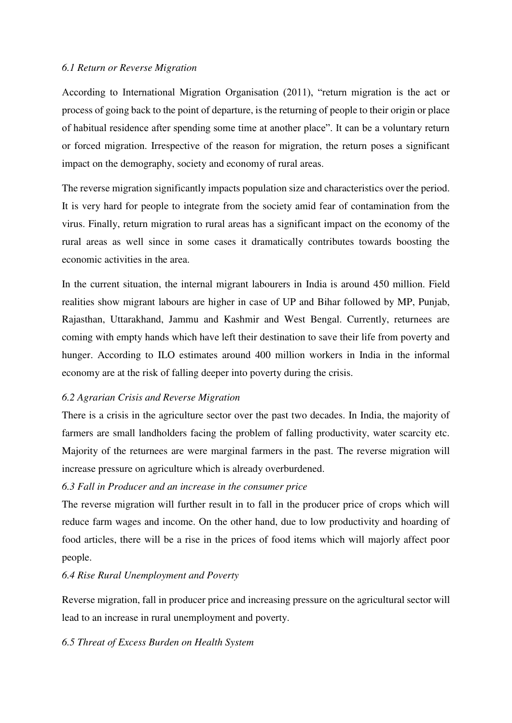## *6.1 Return or Reverse Migration*

According to International Migration Organisation (2011), "return migration is the act or process of going back to the point of departure, is the returning of people to their origin or place of habitual residence after spending some time at another place". It can be a voluntary return or forced migration. Irrespective of the reason for migration, the return poses a significant impact on the demography, society and economy of rural areas.

The reverse migration significantly impacts population size and characteristics over the period. It is very hard for people to integrate from the society amid fear of contamination from the virus. Finally, return migration to rural areas has a significant impact on the economy of the rural areas as well since in some cases it dramatically contributes towards boosting the economic activities in the area.

In the current situation, the internal migrant labourers in India is around 450 million. Field realities show migrant labours are higher in case of UP and Bihar followed by MP, Punjab, Rajasthan, Uttarakhand, Jammu and Kashmir and West Bengal. Currently, returnees are coming with empty hands which have left their destination to save their life from poverty and hunger. According to ILO estimates around 400 million workers in India in the informal economy are at the risk of falling deeper into poverty during the crisis.

#### *6.2 Agrarian Crisis and Reverse Migration*

There is a crisis in the agriculture sector over the past two decades. In India, the majority of farmers are small landholders facing the problem of falling productivity, water scarcity etc. Majority of the returnees are were marginal farmers in the past. The reverse migration will increase pressure on agriculture which is already overburdened.

#### *6.3 Fall in Producer and an increase in the consumer price*

The reverse migration will further result in to fall in the producer price of crops which will reduce farm wages and income. On the other hand, due to low productivity and hoarding of food articles, there will be a rise in the prices of food items which will majorly affect poor people.

#### *6.4 Rise Rural Unemployment and Poverty*

Reverse migration, fall in producer price and increasing pressure on the agricultural sector will lead to an increase in rural unemployment and poverty.

## *6.5 Threat of Excess Burden on Health System*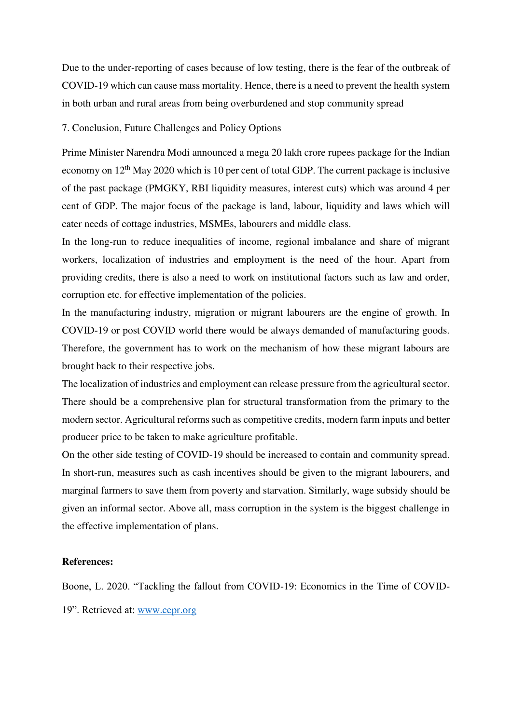Due to the under-reporting of cases because of low testing, there is the fear of the outbreak of COVID-19 which can cause mass mortality. Hence, there is a need to prevent the health system in both urban and rural areas from being overburdened and stop community spread

7. Conclusion, Future Challenges and Policy Options

Prime Minister Narendra Modi announced a mega 20 lakh crore rupees package for the Indian economy on 12<sup>th</sup> May 2020 which is 10 per cent of total GDP. The current package is inclusive of the past package (PMGKY, RBI liquidity measures, interest cuts) which was around 4 per cent of GDP. The major focus of the package is land, labour, liquidity and laws which will cater needs of cottage industries, MSMEs, labourers and middle class.

In the long-run to reduce inequalities of income, regional imbalance and share of migrant workers, localization of industries and employment is the need of the hour. Apart from providing credits, there is also a need to work on institutional factors such as law and order, corruption etc. for effective implementation of the policies.

In the manufacturing industry, migration or migrant labourers are the engine of growth. In COVID-19 or post COVID world there would be always demanded of manufacturing goods. Therefore, the government has to work on the mechanism of how these migrant labours are brought back to their respective jobs.

The localization of industries and employment can release pressure from the agricultural sector. There should be a comprehensive plan for structural transformation from the primary to the modern sector. Agricultural reforms such as competitive credits, modern farm inputs and better producer price to be taken to make agriculture profitable.

On the other side testing of COVID-19 should be increased to contain and community spread. In short-run, measures such as cash incentives should be given to the migrant labourers, and marginal farmers to save them from poverty and starvation. Similarly, wage subsidy should be given an informal sector. Above all, mass corruption in the system is the biggest challenge in the effective implementation of plans.

#### **References:**

Boone, L. 2020. "Tackling the fallout from COVID-19: Economics in the Time of COVID-

19". Retrieved at: [www.cepr.org](http://www.cepr.org/)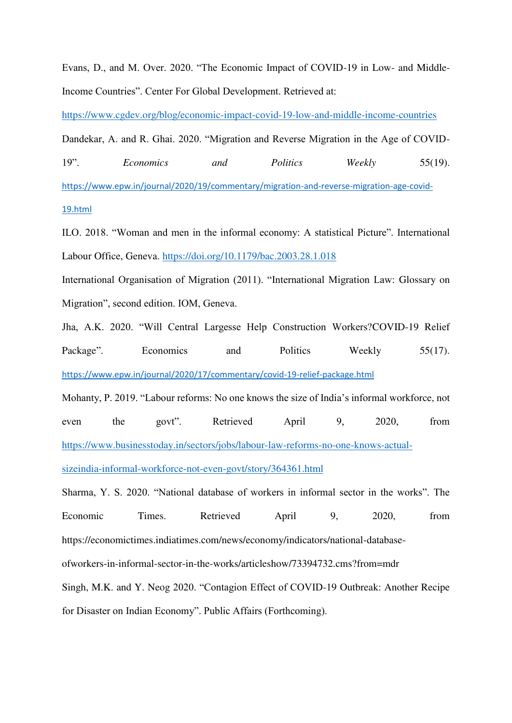Evans, D., and M. Over. 2020. "The Economic Impact of COVID-19 in Low- and Middle-Income Countries". Center For Global Development. Retrieved at:

<https://www.cgdev.org/blog/economic-impact-covid-19-low-and-middle-income-countries>

Dandekar, A. and R. Ghai. 2020. "Migration and Reverse Migration in the Age of COVID-

19". *Economics and Politics Weekly* 55(19). [https://www.epw.in/journal/2020/19/commentary/migration-and-reverse-migration-age-covid-](https://www.epw.in/journal/2020/19/commentary/migration-and-reverse-migration-age-covid-19.html)[19.html](https://www.epw.in/journal/2020/19/commentary/migration-and-reverse-migration-age-covid-19.html)

ILO. 2018. "Woman and men in the informal economy: A statistical Picture". International Labour Office, Geneva.<https://doi.org/10.1179/bac.2003.28.1.018>

International Organisation of Migration (2011). "International Migration Law: Glossary on Migration", second edition. IOM, Geneva.

Jha, A.K. 2020. "Will Central Largesse Help Construction Workers?[COVID-19 Relief](https://www.epw.in/journal/2020/17/commentary/covid-19-relief-package.html)  [Package](https://www.epw.in/journal/2020/17/commentary/covid-19-relief-package.html)". Economics and Politics Weekly 55(17). <https://www.epw.in/journal/2020/17/commentary/covid-19-relief-package.html>

Mohanty, P. 2019. "Labour reforms: No one knows the size of India's informal workforce, not even the govt". Retrieved April 9, 2020, from [https://www.businesstoday.in/sectors/jobs/labour-law-reforms-no-one-knows-actual-](https://www.businesstoday.in/sectors/jobs/labour-law-reforms-no-one-knows-actual-sizeindia-informal-workforce-not-even-govt/story/364361.html)

[sizeindia-informal-workforce-not-even-govt/story/364361.html](https://www.businesstoday.in/sectors/jobs/labour-law-reforms-no-one-knows-actual-sizeindia-informal-workforce-not-even-govt/story/364361.html)

Sharma, Y. S. 2020. "National database of workers in informal sector in the works". The Economic Times. Retrieved April 9, 2020, from https://economictimes.indiatimes.com/news/economy/indicators/national-databaseofworkers-in-informal-sector-in-the-works/articleshow/73394732.cms?from=mdr Singh, M.K. and Y. Neog 2020. "Contagion Effect of COVID-19 Outbreak: Another Recipe for Disaster on Indian Economy". Public Affairs (Forthcoming).